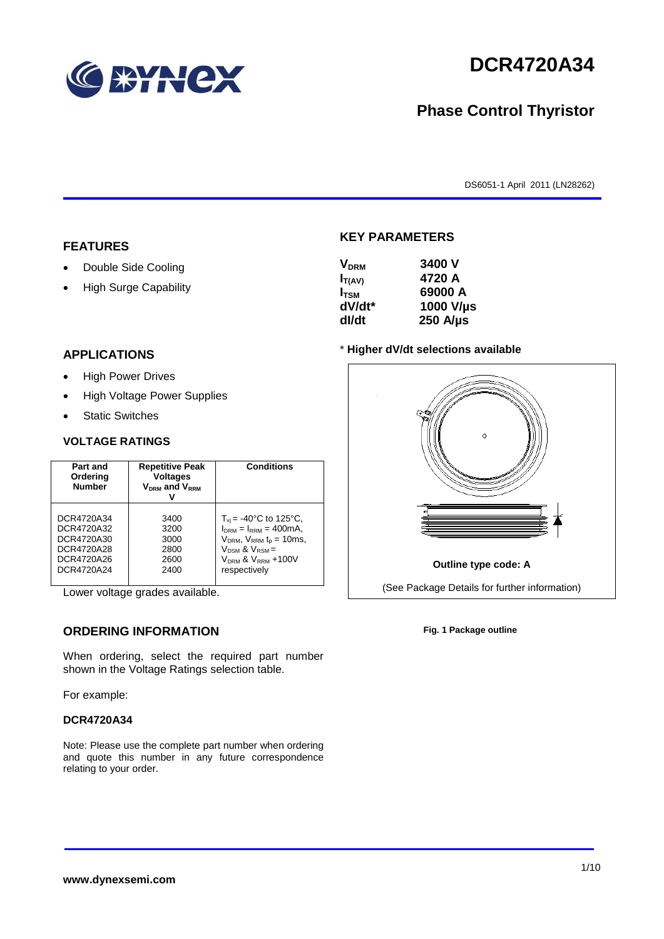

# **DCR4720A34**

## **Phase Control Thyristor**

DS6051-1 April 2011 (LN28262)

#### **FEATURES**

- Double Side Cooling
- High Surge Capability

#### **APPLICATIONS**

- High Power Drives
- High Voltage Power Supplies
- Static Switches

#### **VOLTAGE RATINGS**

| Part and<br>Ordering<br><b>Number</b> | <b>Repetitive Peak</b><br><b>Voltages</b><br>$V_{DRM}$ and $V_{RRM}$ | <b>Conditions</b>                         |
|---------------------------------------|----------------------------------------------------------------------|-------------------------------------------|
| DCR4720A34                            | 3400                                                                 | $T_{\rm vi}$ = -40°C to 125°C,            |
| DCR4720A32                            | 3200                                                                 | $IDRM = IRRM = 400mA,$                    |
| DCR4720A30                            | 3000                                                                 | $V_{DRM}$ , $V_{RRM}$ $t_{p}$ = 10ms,     |
| DCR4720A28                            | 2800                                                                 | $V_{DSM}$ & $V_{RSM}$ =                   |
| DCR4720A26                            | 2600                                                                 | V <sub>DRM</sub> & V <sub>RRM</sub> +100V |
| DCR4720A24                            | 2400                                                                 | respectively                              |

Lower voltage grades available.

### **ORDERING INFORMATION**

When ordering, select the required part number shown in the Voltage Ratings selection table.

For example:

#### **DCR4720A34**

Note: Please use the complete part number when ordering and quote this number in any future correspondence relating to your order.

#### **KEY PARAMETERS**

| <b>V<sub>DRM</sub></b> | 3400 V           |
|------------------------|------------------|
| $I_{T(AV)}$            | 4720 A           |
| $I_{TSM}$              | 69000 A          |
| dV/dt*                 | 1000 V/µs        |
| dl/dt                  | $250$ A/ $\mu$ s |

#### \* **Higher dV/dt selections available**



**Fig. 1 Package outline**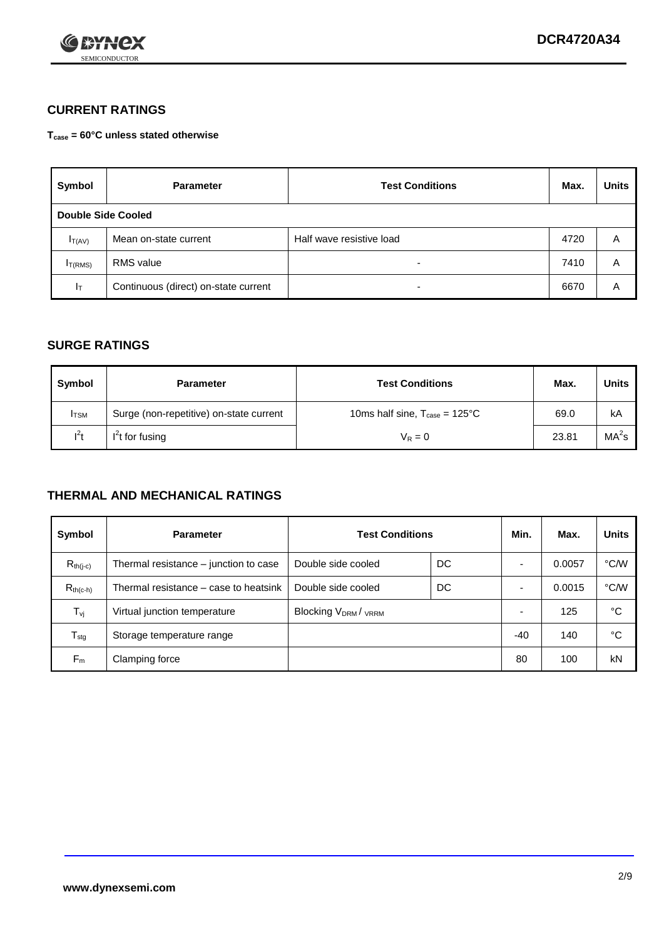

### **CURRENT RATINGS**

**Tcase = 60°C unless stated otherwise**

| Symbol              | <b>Parameter</b>                     | <b>Test Conditions</b>   |      | <b>Units</b> |  |  |
|---------------------|--------------------------------------|--------------------------|------|--------------|--|--|
|                     | Double Side Cooled                   |                          |      |              |  |  |
| $I_{T(AV)}$         | Mean on-state current                | Half wave resistive load | 4720 | A            |  |  |
| I <sub>T(RMS)</sub> | RMS value                            | $\overline{\phantom{a}}$ | 7410 | Α            |  |  |
| Iт                  | Continuous (direct) on-state current | $\overline{\phantom{a}}$ | 6670 | Α            |  |  |

#### **SURGE RATINGS**

| Symbol       | <b>Parameter</b>                        | <b>Test Conditions</b>                           | Max.  | Units             |
|--------------|-----------------------------------------|--------------------------------------------------|-------|-------------------|
| <b>I</b> TSM | Surge (non-repetitive) on-state current | 10ms half sine, $T_{\text{case}} = 125^{\circ}C$ | 69.0  | kA                |
| $l^2t$       | $I2t$ for fusing                        | $V_R = 0$                                        | 23.81 | MA <sup>2</sup> s |

#### **THERMAL AND MECHANICAL RATINGS**

| Symbol           | <b>Parameter</b>                      | <b>Test Conditions</b>    |    | Min.  | Max.   | <b>Units</b> |
|------------------|---------------------------------------|---------------------------|----|-------|--------|--------------|
| $R_{th(j-c)}$    | Thermal resistance – junction to case | Double side cooled        | DC |       | 0.0057 | °C/W         |
| $R_{th(c-h)}$    | Thermal resistance – case to heatsink | Double side cooled        | DC |       | 0.0015 | °C/W         |
| $T_{\nu j}$      | Virtual junction temperature          | <b>Blocking VDRM/VRRM</b> |    |       | 125    | °C           |
| $T_{\text{stg}}$ | Storage temperature range             |                           |    | $-40$ | 140    | °C           |
| $F_m$            | Clamping force                        |                           |    | 80    | 100    | kN           |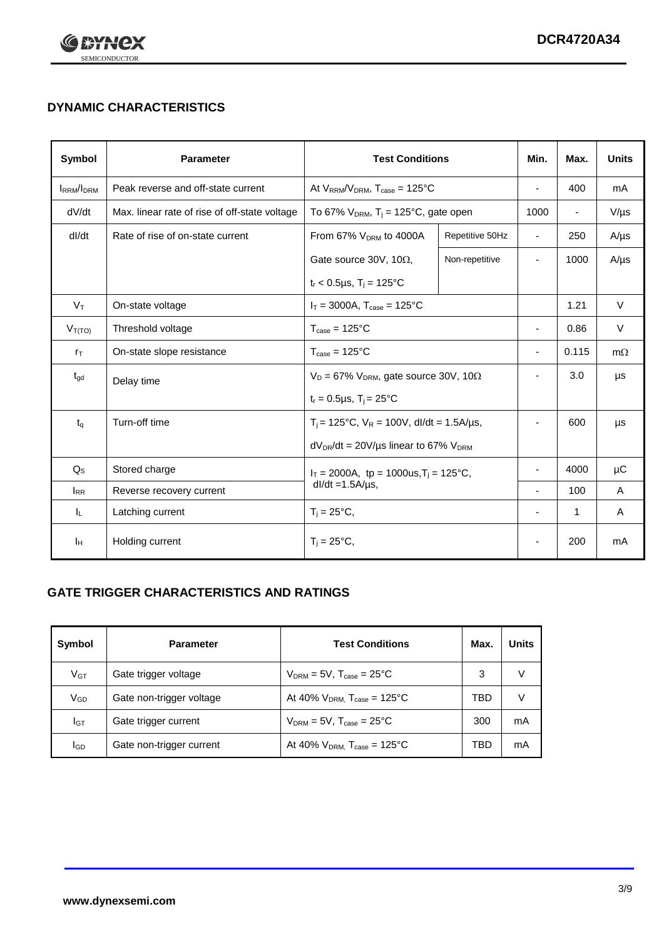

## **DYNAMIC CHARACTERISTICS**

| <b>Symbol</b>     | <b>Parameter</b>                              | <b>Test Conditions</b>                                                 |                                                      | Min.                     | Max.                     | <b>Units</b> |
|-------------------|-----------------------------------------------|------------------------------------------------------------------------|------------------------------------------------------|--------------------------|--------------------------|--------------|
| <b>IRRM</b> /IDRM | Peak reverse and off-state current            | At $V_{RRM}/V_{DRM}$ , $T_{case} = 125^{\circ}C$                       |                                                      | $\blacksquare$           | 400                      | mA           |
| dV/dt             | Max. linear rate of rise of off-state voltage |                                                                        | To 67% $V_{DRM}$ , T <sub>i</sub> = 125°C, gate open |                          | $\overline{\phantom{a}}$ | $V/\mu s$    |
| dl/dt             | Rate of rise of on-state current              | From 67% $V_{DRM}$ to 4000A                                            | Repetitive 50Hz                                      | $\overline{\phantom{a}}$ | 250                      | $A/\mu s$    |
|                   |                                               | Gate source 30V, 10 $\Omega$ ,                                         | Non-repetitive                                       | $\overline{\phantom{a}}$ | 1000                     | $A/\mu s$    |
|                   |                                               | $t_r$ < 0.5µs, T <sub>i</sub> = 125°C                                  |                                                      |                          |                          |              |
| $V_T$             | On-state voltage                              | $I_T = 3000A$ , $T_{case} = 125^{\circ}C$                              |                                                      |                          | 1.21                     | $\vee$       |
| $V_{T(TO)}$       | Threshold voltage                             | $T_{\text{case}} = 125^{\circ}C$                                       |                                                      | ٠                        | 0.86                     | $\vee$       |
| $r_{\text{T}}$    | On-state slope resistance                     | $T_{\text{case}} = 125^{\circ}C$                                       |                                                      | $\overline{\phantom{a}}$ | 0.115                    | $m\Omega$    |
| $t_{\rm gd}$      | Delay time                                    | $V_D = 67\%$ V <sub>DRM</sub> , gate source 30V, 10 $\Omega$           |                                                      | ÷,                       | 3.0                      | μs           |
|                   |                                               | $t_r = 0.5 \mu s$ , $T_i = 25^{\circ}C$                                |                                                      |                          |                          |              |
| $t_{q}$           | Turn-off time                                 | $T_i$ = 125°C, $V_R$ = 100V, dl/dt = 1.5A/us,                          |                                                      | ٠                        | 600                      | μs           |
|                   |                                               | $dV_{DR}/dt = 20V/\mu s$ linear to 67% $V_{DRM}$                       |                                                      |                          |                          |              |
| $Q_{\rm S}$       | Stored charge                                 | $I_T = 2000A$ , tp = 1000us, $T_i = 125$ °C,<br>$dl/dt = 1.5A/\mu s$ , |                                                      |                          | 4000                     | μC           |
| $I_{RR}$          | Reverse recovery current                      |                                                                        |                                                      |                          | 100                      | A            |
| IL.               | Latching current                              | $T_i = 25^{\circ}C$ ,                                                  |                                                      | -                        | 1                        | Α            |
| Iн                | Holding current                               | $T_i = 25^{\circ}C,$                                                   |                                                      |                          | 200                      | mA           |

### **GATE TRIGGER CHARACTERISTICS AND RATINGS**

| Symbol          | <b>Parameter</b>         | <b>Test Conditions</b>                       | Max. | <b>Units</b> |
|-----------------|--------------------------|----------------------------------------------|------|--------------|
| V <sub>GT</sub> | Gate trigger voltage     | $V_{DRM} = 5V$ , $T_{case} = 25^{\circ}C$    | 3    | V            |
| $\rm V_{GD}$    | Gate non-trigger voltage | At 40% $V_{DRM}$ , $T_{case} = 125^{\circ}C$ | TBD  | V            |
| Iст             | Gate trigger current     | $V_{DRM} = 5V$ , $T_{case} = 25^{\circ}C$    | 300  | mA           |
| lgp             | Gate non-trigger current | At 40% $V_{DRM}$ , $T_{case} = 125^{\circ}C$ | TBD  | mA           |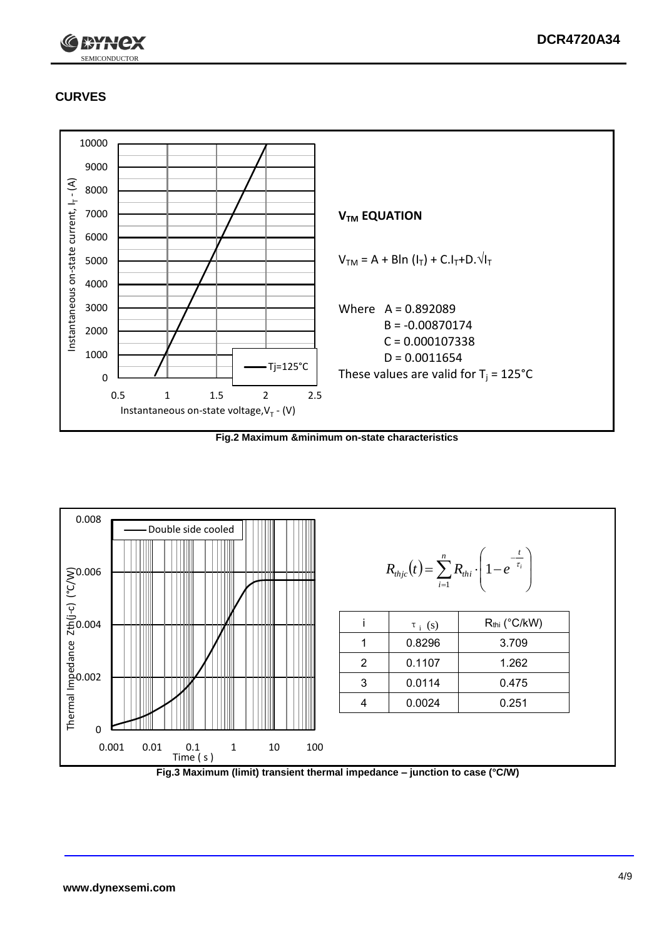

## **CURVES**



**Fig.2 Maximum &minimum on-state characteristics**



**Fig.3 Maximum (limit) transient thermal impedance – junction to case (°C/W)**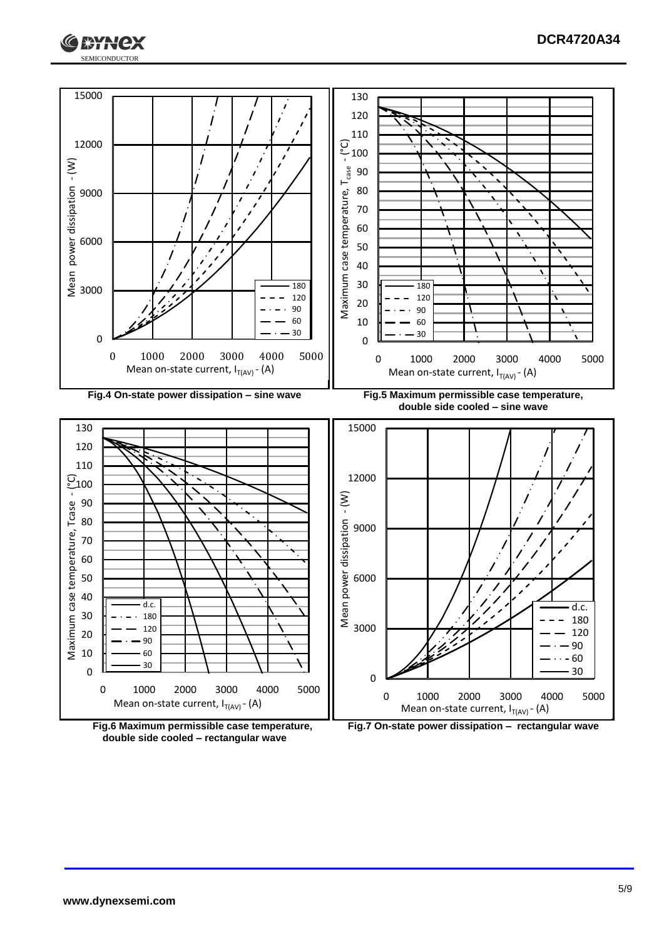





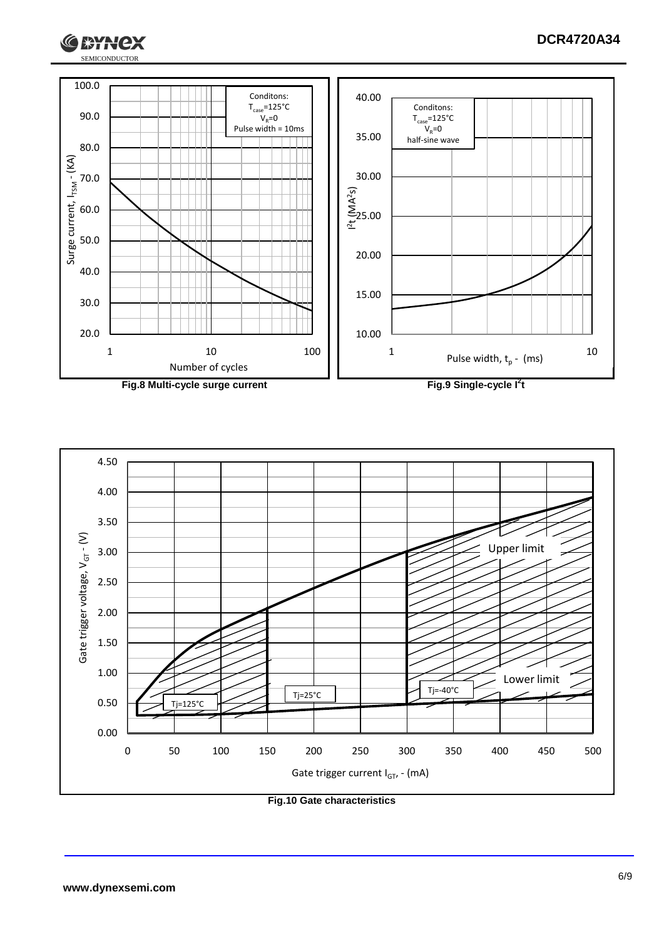





 $1*Y$ 

lex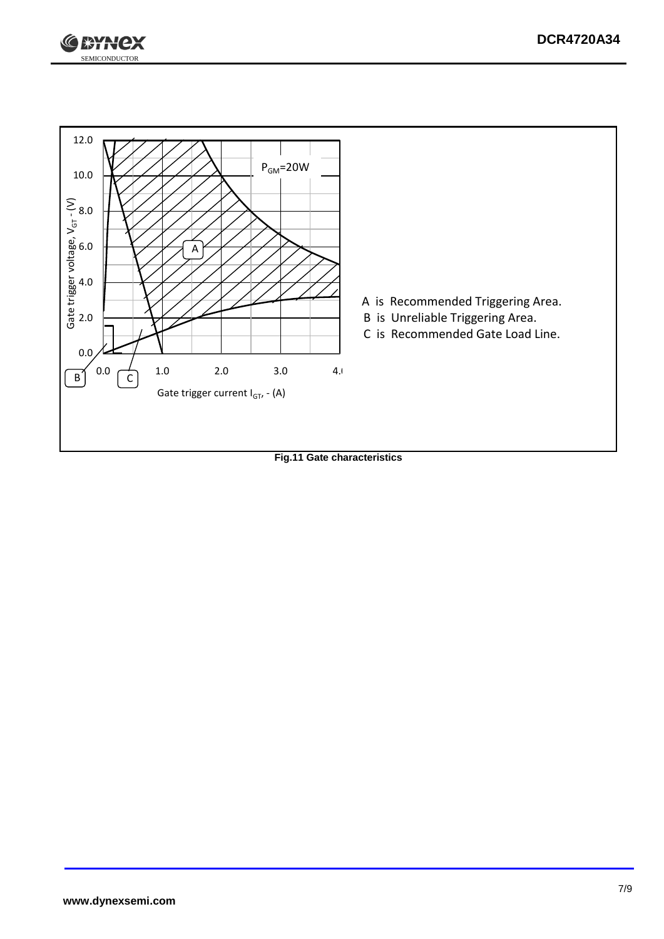



**Fig.11 Gate characteristics**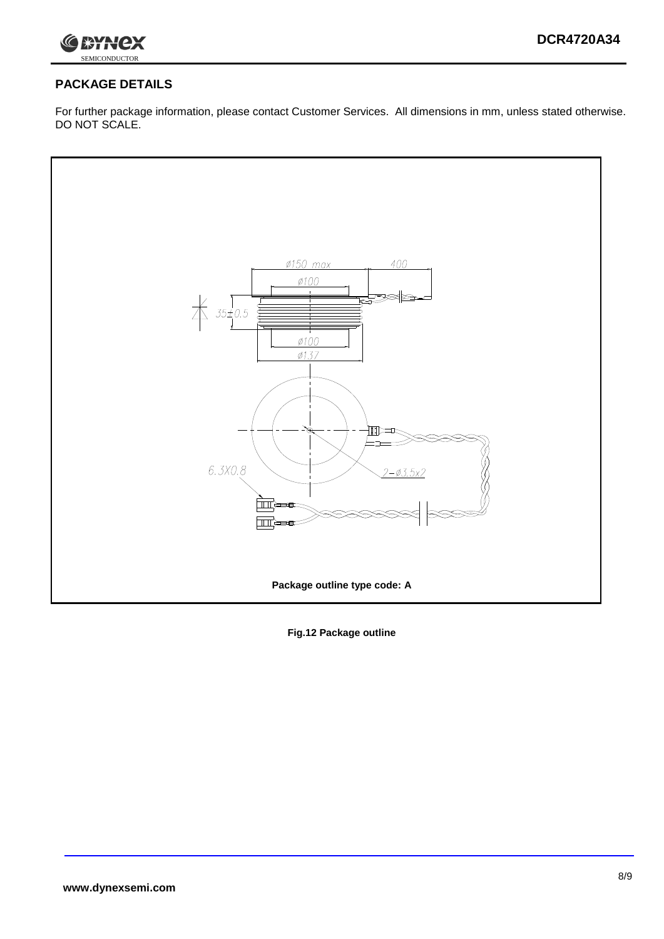

#### **PACKAGE DETAILS**

For further package information, please contact Customer Services. All dimensions in mm, unless stated otherwise. DO NOT SCALE.



**Fig.12 Package outline**